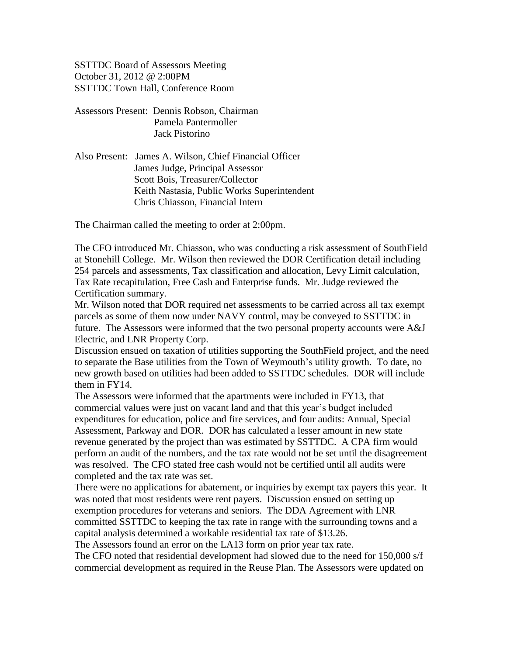SSTTDC Board of Assessors Meeting October 31, 2012 @ 2:00PM SSTTDC Town Hall, Conference Room

- Assessors Present: Dennis Robson, Chairman Pamela Pantermoller Jack Pistorino
- Also Present: James A. Wilson, Chief Financial Officer James Judge, Principal Assessor Scott Bois, Treasurer/Collector Keith Nastasia, Public Works Superintendent Chris Chiasson, Financial Intern

The Chairman called the meeting to order at 2:00pm.

The CFO introduced Mr. Chiasson, who was conducting a risk assessment of SouthField at Stonehill College. Mr. Wilson then reviewed the DOR Certification detail including 254 parcels and assessments, Tax classification and allocation, Levy Limit calculation, Tax Rate recapitulation, Free Cash and Enterprise funds. Mr. Judge reviewed the Certification summary.

Mr. Wilson noted that DOR required net assessments to be carried across all tax exempt parcels as some of them now under NAVY control, may be conveyed to SSTTDC in future. The Assessors were informed that the two personal property accounts were A&J Electric, and LNR Property Corp.

Discussion ensued on taxation of utilities supporting the SouthField project, and the need to separate the Base utilities from the Town of Weymouth's utility growth. To date, no new growth based on utilities had been added to SSTTDC schedules. DOR will include them in FY14.

The Assessors were informed that the apartments were included in FY13, that commercial values were just on vacant land and that this year's budget included expenditures for education, police and fire services, and four audits: Annual, Special Assessment, Parkway and DOR. DOR has calculated a lesser amount in new state revenue generated by the project than was estimated by SSTTDC. A CPA firm would perform an audit of the numbers, and the tax rate would not be set until the disagreement was resolved. The CFO stated free cash would not be certified until all audits were completed and the tax rate was set.

There were no applications for abatement, or inquiries by exempt tax payers this year. It was noted that most residents were rent payers. Discussion ensued on setting up exemption procedures for veterans and seniors. The DDA Agreement with LNR committed SSTTDC to keeping the tax rate in range with the surrounding towns and a capital analysis determined a workable residential tax rate of \$13.26.

The Assessors found an error on the LA13 form on prior year tax rate.

The CFO noted that residential development had slowed due to the need for 150,000 s/f commercial development as required in the Reuse Plan. The Assessors were updated on